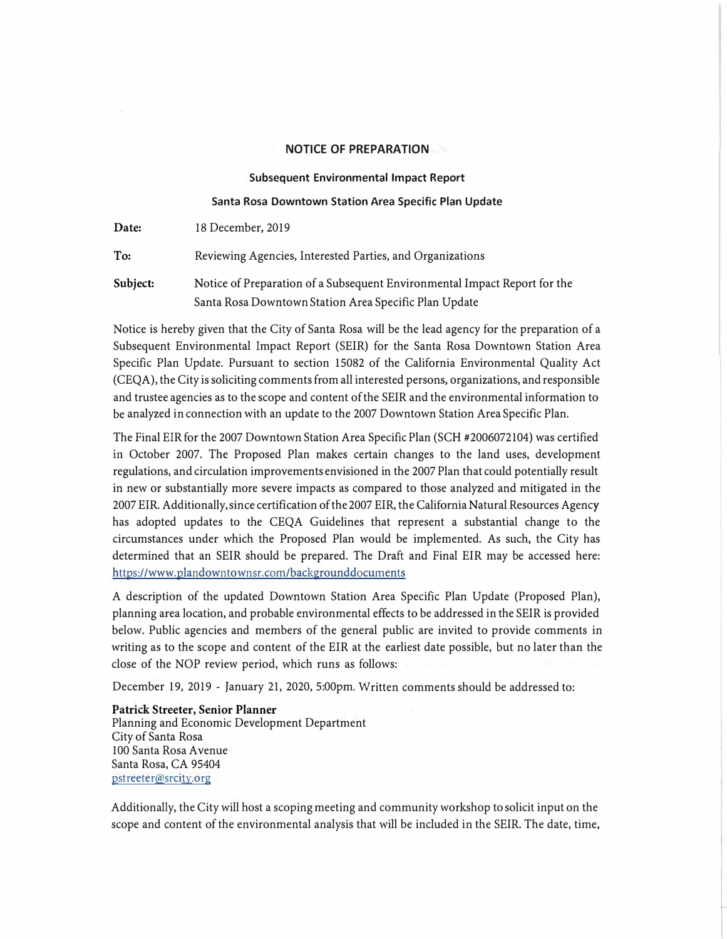#### **NOTICE OF PREPARATION**

#### **Subsequent Environmental Impact Report**

#### **Santa Rosa Downtown Station Area Specific Plan Update**

| Date:    | 18 December, 2019                                                                                                                  |
|----------|------------------------------------------------------------------------------------------------------------------------------------|
| To:      | Reviewing Agencies, Interested Parties, and Organizations                                                                          |
| Subject: | Notice of Preparation of a Subsequent Environmental Impact Report for the<br>Santa Rosa Downtown Station Area Specific Plan Update |

Notice is hereby given that the City of Santa Rosa will be the lead agency for the preparation of a Subsequent Environmental Impact Report (SEIR) for the Santa Rosa Downtown Station Area Specific Plan Update. Pursuant to section 15082 of the California Environmental Quality Act ( CEQA), the City issoliciting commentsfromall interested persons, organizations, andresponsible and trustee agencies as to the scope and content of the SEIR and the environmental information to be analyzed in connection with an update to the 2007 Downtown Station Area Specific Plan.

The Final EIR for the 2007 Downtown Station Area Specific Plan (SCH #2006072104) was certified in October 2007. The Proposed Plan makes certain changes to the land uses, development regulations, and circulation improvements envisioned in the 2007 Plan that could potentially result in new or substantially more severe impacts as compared to those analyzed and mitigated in the 2007 EIR. Additionally, since certification of the 2007 EIR, the California Natural Resources Agency has adopted updates to the CEQA Guidelines that represent a substantial change to the circumstances under which the Proposed Plan would be implemented. As such, the City has determined that an SEIR should be prepared. The Draft and Final EIR may be accessed here: https://www.plandowntownsr.com/backgrounddocuments

A description of the updated Downtown Station Area Specific Plan Update (Proposed Plan), planning area location, and probable environmental effects to be addressed in the SEIR is provided below. Public agencies and members of the general public are invited to provide comments in writing as to the scope and content of the EIR at the earliest date possible, but no later than the close of the NOP review period, which runs as follows:

December 19, 2019 - January 21, 2020, 5:00pm. Written comments should be addressed to:

**Patrick Streeter, Senior Planner**  Planning and Economic Development Department City of Santa Rosa 100 Santa Rosa A venue Santa Rosa, CA 95404 pstreeter@srcity.org

Additionally, the City will host a scoping meeting and community workshop to solicit input on the scope and content of the environmental analysis that will be included in the SEIR. The date, time,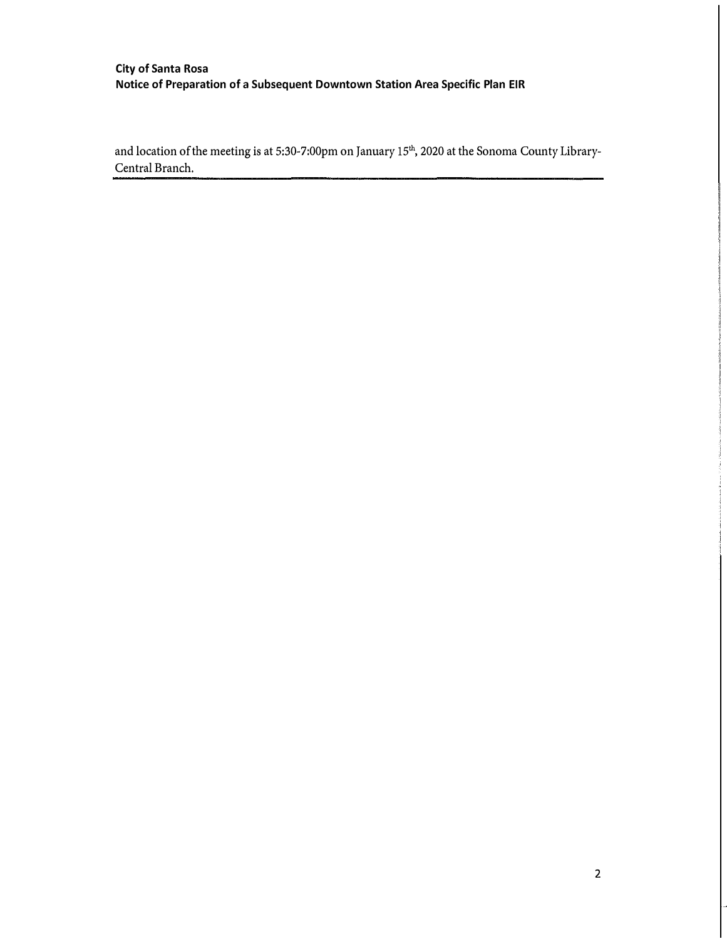# **City of Santa Rosa Notice of Preparation of** a **Subsequent Downtown Station Area Specific Plan EIR**

and location of the meeting is at 5:30-7:00pm on January 15<sup>th</sup>, 2020 at the Sonoma County Library-Central Branch.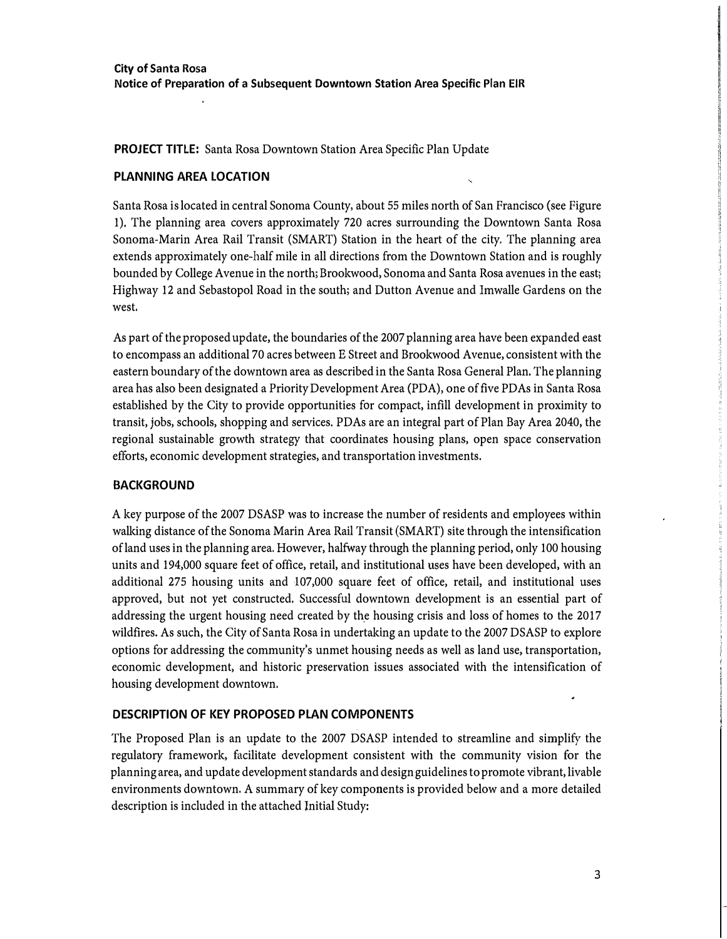## **PROJECT TITLE:** Santa Rosa Downtown Station Area Specific Plan Update

## **PLANNING AREA LOCATION**

Santa Rosa is located in central Sonoma County, about 55 miles north of San Francisco (see Figure 1). The planning area covers approximately 720 acres surrounding the Downtown Santa Rosa Sonoma-Marin Area Rail Transit (SMART) Station in the heart of the city. The planning area extends approximately one-half mile in all directions from the Downtown Station and is roughly bounded by College Avenue in the north; Brookwood, Sonoma and Santa Rosa avenues in the east; Highway 12 and Sebastopol Road in the south; and Dutton Avenue and Imwalle Gardens on the west.

As part of the proposed update, the boundaries of the 2007 planning area have been expanded east to encompass an additional 70 acres between E Street and Brookwood Avenue, consistent with the eastern boundary of the downtown area as described in the Santa Rosa General Plan. The planning area has also been designated a Priority Development Area (PDA), one of five PDAs in Santa Rosa established by the City to provide opportunities for compact, infill development in proximity to transit, jobs, schools, shopping and services. PD As are an integral part of Plan Bay Area 2040, the regional sustainable growth strategy that coordinates housing plans, open space conservation efforts, economic development strategies, and transportation investments.

## **BACKGROUND**

A key purpose of the 2007 DSASP was to increase the number of residents and employees within walking distance of the Sonoma Marin Area Rail Transit (SMART) site through the intensification ofland uses in the planning area. However, halfway through the planning period, only 100 housing units and 194,000 square feet of office, retail, and institutional uses have been developed, with an additional 275 housing units and 107,000 square feet of office, retail, and institutional uses approved, but not yet constructed. Successful downtown development is an essential part of addressing the urgent housing need created by the housing crisis and loss of homes to the 2017 wildfires. As such, the City of Santa Rosa in undertaking an update to the 2007 DSASP to explore options for addressing the community's unmet housing needs as well as land use, transportation, economic development, and historic preservation issues associated with the intensification of housing development downtown.

### **DESCRIPTION OF KEY PROPOSED PLAN COMPONENTS**

The Proposed Plan is an update to the 2007 DSASP intended to streamline and simplify the regulatory framework, facilitate development consistent with the community vision for the planning area, and update development standards and design guidelines to promote vibrant, livable environments downtown, A summary of key components is provided below and a more detailed description is included in the attached Initial Study: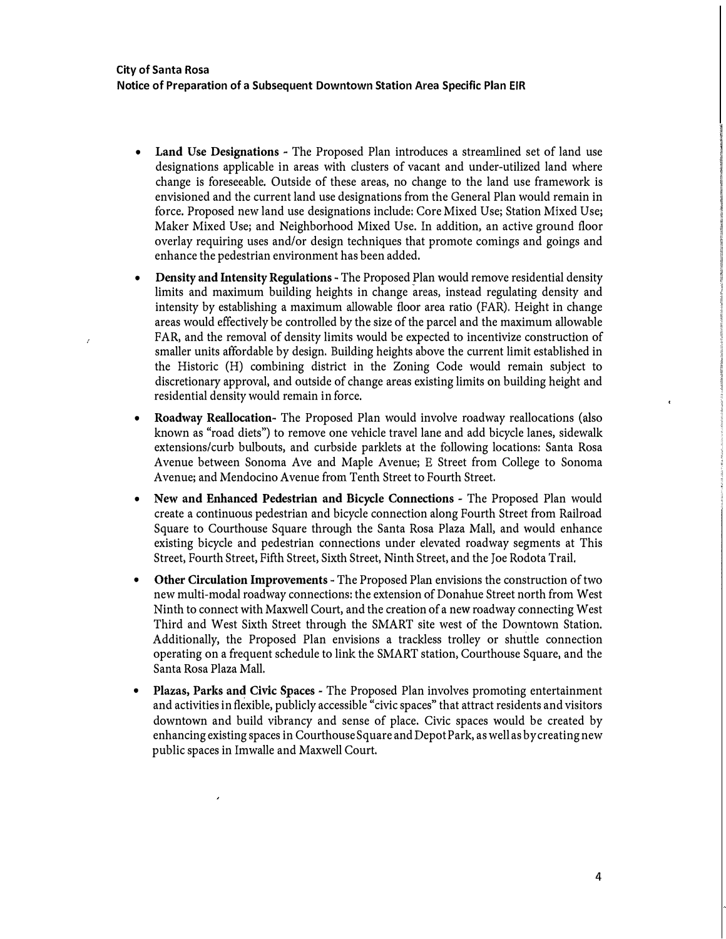- **Land Use Designations**  The Proposed Plan introduces a streamlined set of land use designations applicable in areas with dusters of vacant and under-utilized land where change is foreseeable. Outside of these areas, no change to the land use framework is envisioned and the current land use designations from the General Plan would remain in force. Proposed new land use designations include: Core Mixed Use; Station Mixed Use; Maker Mixed Use; and Neighborhood Mixed Use. In addition, an active ground floor overlay requiring uses and/or design techniques that promote comings and goings and enhance the pedestrian environment has been added.
- **Density and Intensity Regulations** � The Proposed Plan would remove residential density limits and maximum building heights in change areas, instead regulating density and intensity by establishing a maximum allowable floor area ratio (FAR). Height in change areas would effectively be controlled by the size of the parcel and the maximum allowable FAR, and the removal of density limits would be expected to incentivize construction of smaller units affordable by design. Building heights above the current limit established in the Historic (H) combining district in the Zoning Code would remain subject to discretionary approval, and outside of change areas existing limits on building height and residential density would remain in force.
- **Roadway Reallocation-** The Proposed Plan would involve roadway reallocations (also known as "road diets") to remove one vehicle travel lane and add bicycle lanes, sidewalk extensions/curb bulbouts, and curbside parklets at the following locations: Santa Rosa Avenue between Sonoma Ave and Maple Avenue; E Street from College to Sonoma Avenue; and Mendocino Avenue from Tenth Street to Fourth Street.
- **New and Enhanced Pedestrian and Bicycle Connections**  The Proposed Plan would create a continuous pedestrian and bicycle connection along Fourth Street from Railroad Square to Courthouse Square through the Santa Rosa Plaza Mall, and would enhance existing bicycle and pedestrian connections under elevated roadway segments at This Street, Fourth Street, Fifth Street, Sixth Street, Ninth Street, and the Joe Rodota Trail.
- **Other Circulation Improvements**  The Proposed Plan envisions the construction of two new multi-modal roadway connections: the extension of Donahue Street north from West Ninth to connect with Maxwell Court, and the creation of a new roadway connecting West Third and West Sixth Street through the SMART site west of the Downtown Station. Additionally, the Proposed Plan envisions a trackless trolley or shuttle connection operating on a frequent schedule to link the SMART station, Courthouse Square, and the Santa Rosa Plaza Mall.
- **Plazas, Parks an4 Civic Spaces**  The Proposed Plan involves promoting entertainment and activities in flexible, publicly accessible "civic spaces" that attract residents and visitors downtown and build vibrancy and sense of place. Civic spaces would be created by enhancing existing spaces in Courthouse Square and Depot Park, as well as by creating new public spaces in Imwalle and Maxwell Court.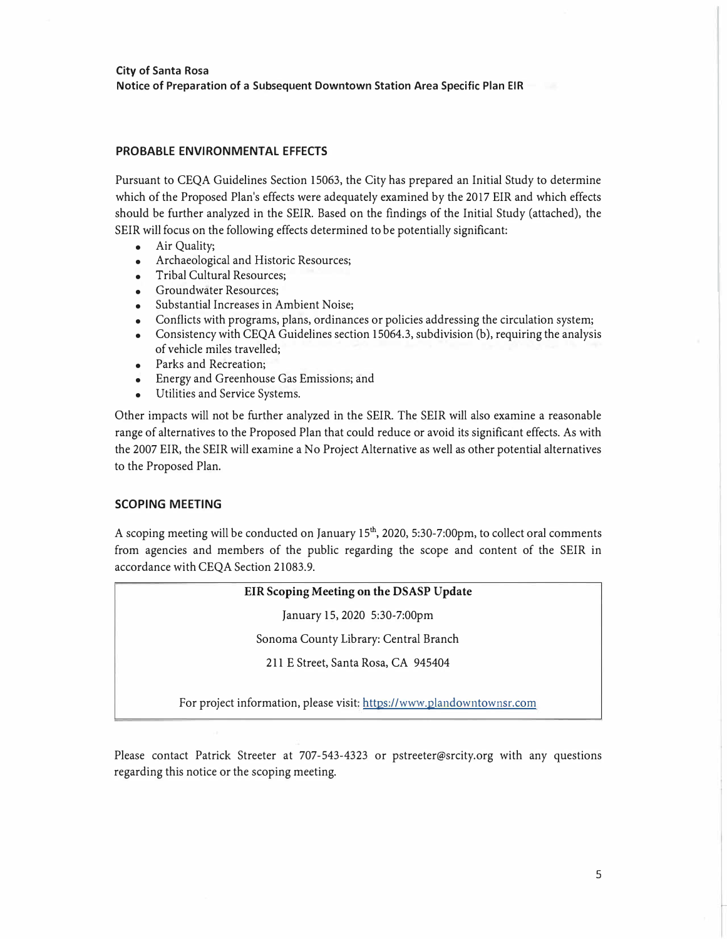## **PROBABLE ENVIRONMENTAL EFFECTS**

Pursuant to CEQA Guidelines Section 15063, the City has prepared an Initial Study to determine which of the Proposed Plan's effects were adequately examined by the 2017 EIR and which effects should be further analyzed in the SEIR. Based on the findings of the Initial Study (attached), the SEIR will focus on the following effects determined to be potentially significant:

- Air Quality;
- Archaeological and Historic Resources;
- Tribal Cultural Resources;
- Groundwater Resources;
- Substantial Increases in Ambient Noise;
- Conflicts with programs, plans, ordinances or policies addressing the circulation system;
- Consistency with CEQA Guidelines section 15064.3, subdivision (b), requiring the analysis of vehicle miles travelled;
- Parks and Recreation;
- Energy and Greenhouse Gas Emissions; and
- Utilities and Service Systems.

Other impacts will not be further analyzed in the SEIR. The SEIR will also examine a reasonable range of alternatives to the Proposed Plan that could reduce or avoid its significant effects. As with the 2007 EIR, the SEIR will examine a No Project Alternative as well as other potential alternatives to the Proposed Plan.

### **SCOPING MEETING**

A scoping meeting will be conducted on January 15<sup>th</sup>, 2020, 5:30-7:00pm, to collect oral comments from agencies and members of the public regarding the scope and content of the SEIR in accordance with CEQA Section 21083.9.

### **EIR Scoping Meeting on the DSASP Update**

January 15, 2020 5:30-7:00pm

Sonoma County Library: Central Branch

211 E Street, Santa Rosa, CA 945404

For project information, please visit: https://www.plandowntownsr.com

Please contact Patrick Streeter at 707-543-4323 or pstreeter@srcity.org with any questions regarding this notice or the scoping meeting.